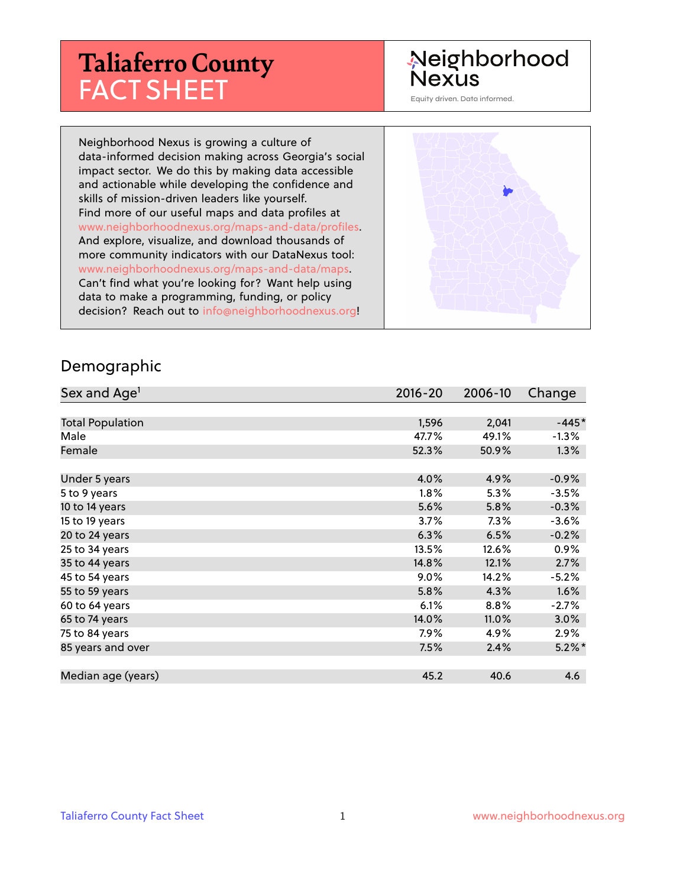# **Taliaferro County** FACT SHEET

#### Neighborhood **Nexus**

Equity driven. Data informed.

Neighborhood Nexus is growing a culture of data-informed decision making across Georgia's social impact sector. We do this by making data accessible and actionable while developing the confidence and skills of mission-driven leaders like yourself. Find more of our useful maps and data profiles at www.neighborhoodnexus.org/maps-and-data/profiles. And explore, visualize, and download thousands of more community indicators with our DataNexus tool: www.neighborhoodnexus.org/maps-and-data/maps. Can't find what you're looking for? Want help using data to make a programming, funding, or policy decision? Reach out to [info@neighborhoodnexus.org!](mailto:info@neighborhoodnexus.org)



#### Demographic

| Sex and Age <sup>1</sup> | $2016 - 20$ | 2006-10 | Change    |
|--------------------------|-------------|---------|-----------|
|                          |             |         |           |
| <b>Total Population</b>  | 1,596       | 2,041   | $-445*$   |
| Male                     | 47.7%       | 49.1%   | $-1.3%$   |
| Female                   | 52.3%       | 50.9%   | $1.3\%$   |
|                          |             |         |           |
| Under 5 years            | 4.0%        | 4.9%    | $-0.9\%$  |
| 5 to 9 years             | $1.8\%$     | 5.3%    | $-3.5%$   |
| 10 to 14 years           | 5.6%        | 5.8%    | $-0.3%$   |
| 15 to 19 years           | 3.7%        | $7.3\%$ | $-3.6%$   |
| 20 to 24 years           | 6.3%        | 6.5%    | $-0.2%$   |
| 25 to 34 years           | 13.5%       | 12.6%   | $0.9\%$   |
| 35 to 44 years           | 14.8%       | 12.1%   | 2.7%      |
| 45 to 54 years           | 9.0%        | 14.2%   | $-5.2%$   |
| 55 to 59 years           | 5.8%        | 4.3%    | 1.6%      |
| 60 to 64 years           | 6.1%        | 8.8%    | $-2.7%$   |
| 65 to 74 years           | 14.0%       | 11.0%   | $3.0\%$   |
| 75 to 84 years           | 7.9%        | 4.9%    | $2.9\%$   |
| 85 years and over        | 7.5%        | 2.4%    | $5.2\%$ * |
|                          |             |         |           |
| Median age (years)       | 45.2        | 40.6    | 4.6       |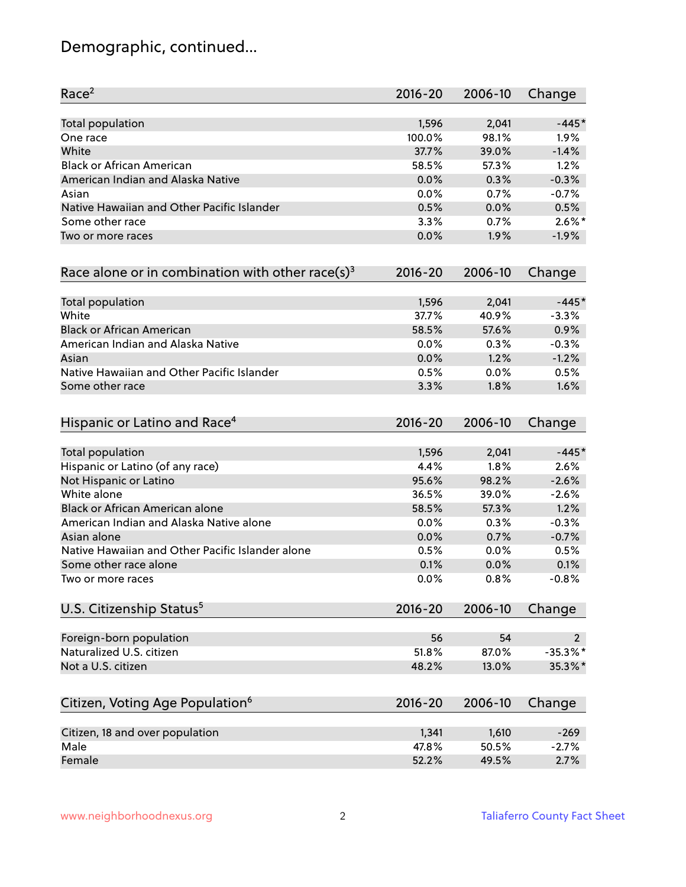# Demographic, continued...

| Race <sup>2</sup>                                            | $2016 - 20$ | 2006-10 | Change         |
|--------------------------------------------------------------|-------------|---------|----------------|
| <b>Total population</b>                                      | 1,596       | 2,041   | $-445*$        |
| One race                                                     | 100.0%      | 98.1%   | 1.9%           |
| White                                                        | 37.7%       | 39.0%   | $-1.4%$        |
| <b>Black or African American</b>                             | 58.5%       | 57.3%   | 1.2%           |
| American Indian and Alaska Native                            | 0.0%        | 0.3%    | $-0.3%$        |
| Asian                                                        | 0.0%        | 0.7%    | $-0.7%$        |
| Native Hawaiian and Other Pacific Islander                   | 0.5%        | 0.0%    | 0.5%           |
| Some other race                                              | 3.3%        | 0.7%    | $2.6\%$ *      |
| Two or more races                                            | 0.0%        | 1.9%    | $-1.9%$        |
| Race alone or in combination with other race(s) <sup>3</sup> | $2016 - 20$ | 2006-10 | Change         |
| Total population                                             | 1,596       | 2,041   | $-445*$        |
| White                                                        | 37.7%       | 40.9%   | $-3.3%$        |
| <b>Black or African American</b>                             | 58.5%       | 57.6%   | 0.9%           |
| American Indian and Alaska Native                            | 0.0%        | 0.3%    | $-0.3%$        |
| Asian                                                        | 0.0%        | 1.2%    | $-1.2%$        |
| Native Hawaiian and Other Pacific Islander                   | 0.5%        | 0.0%    | 0.5%           |
| Some other race                                              | 3.3%        | 1.8%    | 1.6%           |
| Hispanic or Latino and Race <sup>4</sup>                     | $2016 - 20$ | 2006-10 | Change         |
| <b>Total population</b>                                      | 1,596       | 2,041   | $-445*$        |
| Hispanic or Latino (of any race)                             | 4.4%        | 1.8%    | 2.6%           |
| Not Hispanic or Latino                                       | 95.6%       | 98.2%   | $-2.6%$        |
| White alone                                                  | 36.5%       | 39.0%   | $-2.6%$        |
| Black or African American alone                              | 58.5%       | 57.3%   | 1.2%           |
| American Indian and Alaska Native alone                      | 0.0%        | 0.3%    | $-0.3%$        |
| Asian alone                                                  | 0.0%        | 0.7%    | $-0.7%$        |
| Native Hawaiian and Other Pacific Islander alone             | 0.5%        | 0.0%    | 0.5%           |
| Some other race alone                                        | 0.1%        | 0.0%    | 0.1%           |
| Two or more races                                            | 0.0%        | 0.8%    | $-0.8%$        |
| U.S. Citizenship Status <sup>5</sup>                         | $2016 - 20$ | 2006-10 | Change         |
| Foreign-born population                                      | 56          | 54      | $\overline{2}$ |
| Naturalized U.S. citizen                                     | 51.8%       | 87.0%   | $-35.3%$ *     |
| Not a U.S. citizen                                           | 48.2%       | 13.0%   | 35.3%*         |
| Citizen, Voting Age Population <sup>6</sup>                  | $2016 - 20$ | 2006-10 | Change         |
|                                                              |             |         |                |
| Citizen, 18 and over population                              | 1,341       | 1,610   | $-269$         |
| Male                                                         | 47.8%       | 50.5%   | $-2.7%$        |
| Female                                                       | 52.2%       | 49.5%   | 2.7%           |
|                                                              |             |         |                |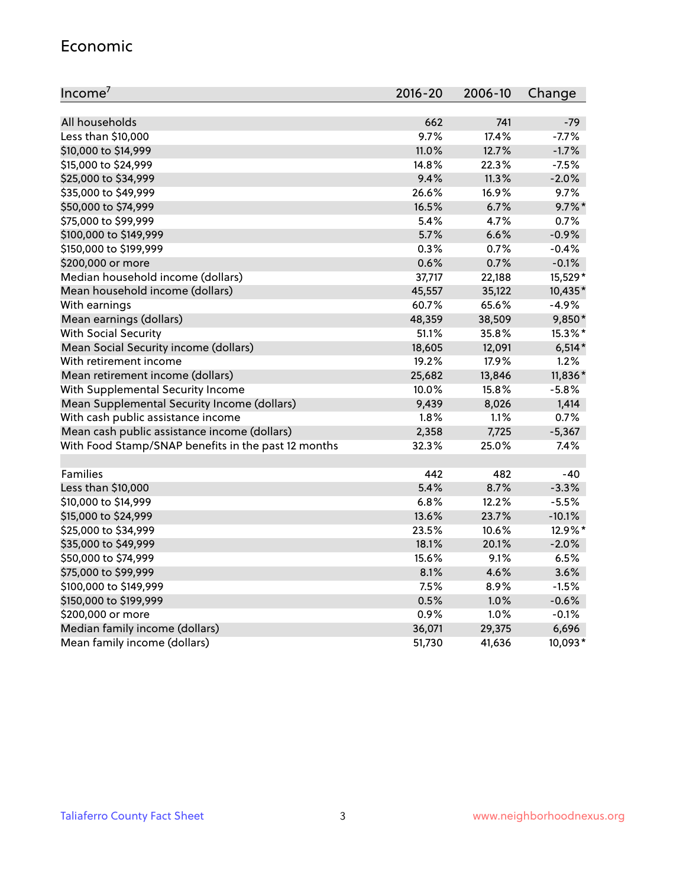#### Economic

| Income <sup>7</sup>                                 | $2016 - 20$ | 2006-10 | Change    |
|-----------------------------------------------------|-------------|---------|-----------|
|                                                     |             |         |           |
| All households                                      | 662         | 741     | $-79$     |
| Less than \$10,000                                  | 9.7%        | 17.4%   | $-7.7%$   |
| \$10,000 to \$14,999                                | 11.0%       | 12.7%   | $-1.7%$   |
| \$15,000 to \$24,999                                | 14.8%       | 22.3%   | $-7.5%$   |
| \$25,000 to \$34,999                                | 9.4%        | 11.3%   | $-2.0%$   |
| \$35,000 to \$49,999                                | 26.6%       | 16.9%   | 9.7%      |
| \$50,000 to \$74,999                                | 16.5%       | 6.7%    | $9.7\%$ * |
| \$75,000 to \$99,999                                | 5.4%        | 4.7%    | 0.7%      |
| \$100,000 to \$149,999                              | 5.7%        | 6.6%    | $-0.9%$   |
| \$150,000 to \$199,999                              | 0.3%        | 0.7%    | $-0.4%$   |
| \$200,000 or more                                   | 0.6%        | 0.7%    | $-0.1%$   |
| Median household income (dollars)                   | 37,717      | 22,188  | 15,529*   |
| Mean household income (dollars)                     | 45,557      | 35,122  | 10,435*   |
| With earnings                                       | 60.7%       | 65.6%   | $-4.9%$   |
| Mean earnings (dollars)                             | 48,359      | 38,509  | 9,850*    |
| <b>With Social Security</b>                         | 51.1%       | 35.8%   | 15.3%*    |
| Mean Social Security income (dollars)               | 18,605      | 12,091  | $6,514*$  |
| With retirement income                              | 19.2%       | 17.9%   | 1.2%      |
| Mean retirement income (dollars)                    | 25,682      | 13,846  | 11,836*   |
| With Supplemental Security Income                   | 10.0%       | 15.8%   | $-5.8%$   |
| Mean Supplemental Security Income (dollars)         | 9,439       | 8,026   | 1,414     |
| With cash public assistance income                  | 1.8%        | 1.1%    | 0.7%      |
| Mean cash public assistance income (dollars)        | 2,358       | 7,725   | $-5,367$  |
| With Food Stamp/SNAP benefits in the past 12 months | 32.3%       | 25.0%   | 7.4%      |
|                                                     |             |         |           |
| Families                                            | 442         | 482     | $-40$     |
| Less than \$10,000                                  | 5.4%        | 8.7%    | $-3.3%$   |
| \$10,000 to \$14,999                                | 6.8%        | 12.2%   | $-5.5%$   |
| \$15,000 to \$24,999                                | 13.6%       | 23.7%   | $-10.1%$  |
| \$25,000 to \$34,999                                | 23.5%       | 10.6%   | 12.9%*    |
| \$35,000 to \$49,999                                | 18.1%       | 20.1%   | $-2.0%$   |
| \$50,000 to \$74,999                                | 15.6%       | 9.1%    | 6.5%      |
| \$75,000 to \$99,999                                | 8.1%        | 4.6%    | 3.6%      |
| \$100,000 to \$149,999                              | 7.5%        | 8.9%    | $-1.5%$   |
| \$150,000 to \$199,999                              | 0.5%        | 1.0%    | $-0.6%$   |
| \$200,000 or more                                   | 0.9%        | 1.0%    | $-0.1%$   |
| Median family income (dollars)                      | 36,071      | 29,375  | 6,696     |
| Mean family income (dollars)                        | 51,730      | 41,636  | 10,093*   |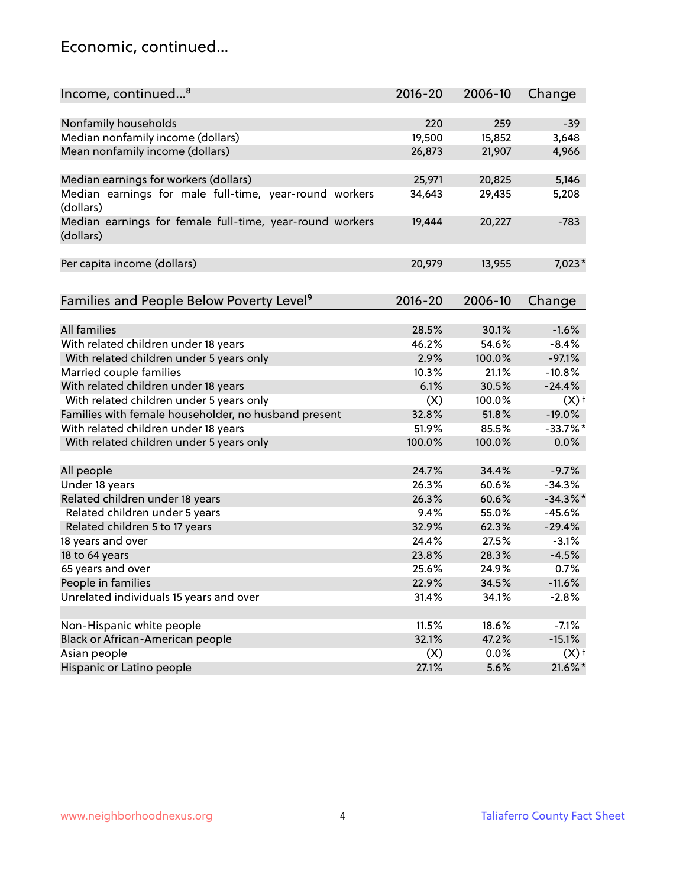#### Economic, continued...

| Income, continued <sup>8</sup>                                        | $2016 - 20$ | 2006-10 | Change             |
|-----------------------------------------------------------------------|-------------|---------|--------------------|
|                                                                       |             |         |                    |
| Nonfamily households                                                  | 220         | 259     | $-39$              |
| Median nonfamily income (dollars)                                     | 19,500      | 15,852  | 3,648              |
| Mean nonfamily income (dollars)                                       | 26,873      | 21,907  | 4,966              |
| Median earnings for workers (dollars)                                 | 25,971      | 20,825  | 5,146              |
| Median earnings for male full-time, year-round workers                | 34,643      | 29,435  | 5,208              |
| (dollars)                                                             |             |         |                    |
| Median earnings for female full-time, year-round workers<br>(dollars) | 19,444      | 20,227  | $-783$             |
| Per capita income (dollars)                                           | 20,979      | 13,955  | 7,023*             |
|                                                                       |             |         |                    |
| Families and People Below Poverty Level <sup>9</sup>                  | $2016 - 20$ | 2006-10 | Change             |
|                                                                       |             |         |                    |
| <b>All families</b>                                                   | 28.5%       | 30.1%   | $-1.6%$            |
| With related children under 18 years                                  | 46.2%       | 54.6%   | $-8.4%$            |
| With related children under 5 years only                              | 2.9%        | 100.0%  | $-97.1%$           |
| Married couple families                                               | 10.3%       | 21.1%   | $-10.8%$           |
| With related children under 18 years                                  | 6.1%        | 30.5%   | $-24.4%$           |
| With related children under 5 years only                              | (X)         | 100.0%  | $(X)$ <sup>+</sup> |
| Families with female householder, no husband present                  | 32.8%       | 51.8%   | $-19.0%$           |
| With related children under 18 years                                  | 51.9%       | 85.5%   | $-33.7%$ *         |
| With related children under 5 years only                              | 100.0%      | 100.0%  | 0.0%               |
| All people                                                            | 24.7%       | 34.4%   | $-9.7%$            |
| Under 18 years                                                        | 26.3%       | 60.6%   | $-34.3%$           |
| Related children under 18 years                                       | 26.3%       | 60.6%   | $-34.3%$           |
| Related children under 5 years                                        | 9.4%        | 55.0%   | $-45.6%$           |
| Related children 5 to 17 years                                        | 32.9%       | 62.3%   | $-29.4%$           |
|                                                                       | 24.4%       | 27.5%   | $-3.1%$            |
| 18 years and over                                                     | 23.8%       |         |                    |
| 18 to 64 years                                                        |             | 28.3%   | $-4.5%$            |
| 65 years and over                                                     | 25.6%       | 24.9%   | 0.7%               |
| People in families                                                    | 22.9%       | 34.5%   | $-11.6%$           |
| Unrelated individuals 15 years and over                               | 31.4%       | 34.1%   | $-2.8%$            |
| Non-Hispanic white people                                             | 11.5%       | 18.6%   | $-7.1%$            |
| Black or African-American people                                      | 32.1%       | 47.2%   | $-15.1%$           |
| Asian people                                                          | (X)         | $0.0\%$ | (X)                |
| Hispanic or Latino people                                             | 27.1%       | 5.6%    | 21.6%*             |
|                                                                       |             |         |                    |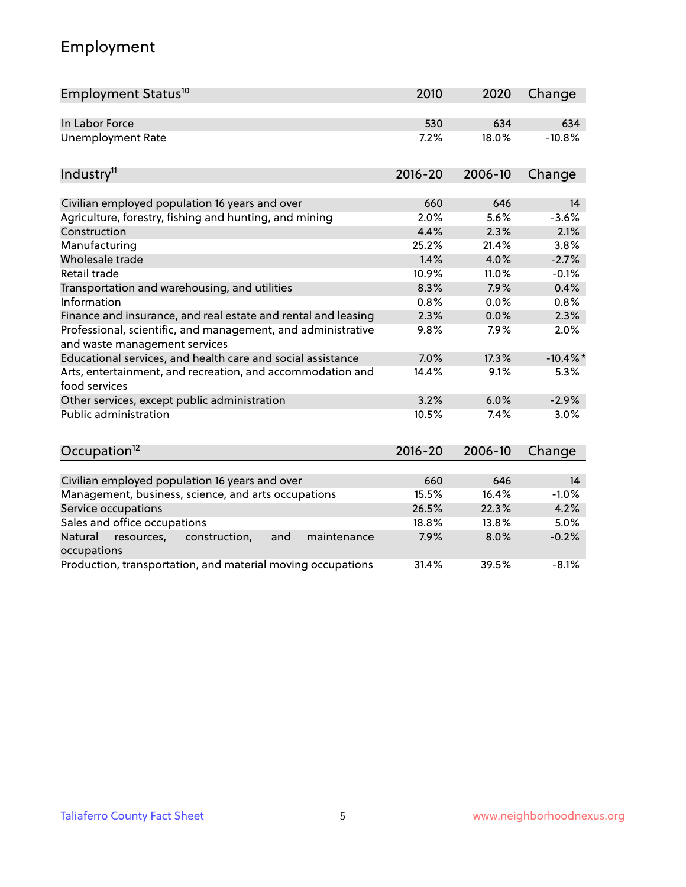# Employment

| Employment Status <sup>10</sup>                                                               | 2010        | 2020    | Change      |
|-----------------------------------------------------------------------------------------------|-------------|---------|-------------|
| In Labor Force                                                                                | 530         | 634     | 634         |
| <b>Unemployment Rate</b>                                                                      | 7.2%        | 18.0%   | $-10.8%$    |
| Industry <sup>11</sup>                                                                        | $2016 - 20$ | 2006-10 | Change      |
| Civilian employed population 16 years and over                                                | 660         | 646     | 14          |
| Agriculture, forestry, fishing and hunting, and mining                                        | 2.0%        | 5.6%    | $-3.6%$     |
| Construction                                                                                  | 4.4%        | 2.3%    | 2.1%        |
| Manufacturing                                                                                 | 25.2%       | 21.4%   | 3.8%        |
| Wholesale trade                                                                               | 1.4%        | 4.0%    | $-2.7%$     |
| Retail trade                                                                                  | 10.9%       | 11.0%   | $-0.1%$     |
| Transportation and warehousing, and utilities                                                 | 8.3%        | 7.9%    | 0.4%        |
| Information                                                                                   | 0.8%        | 0.0%    | 0.8%        |
| Finance and insurance, and real estate and rental and leasing                                 | 2.3%        | 0.0%    | 2.3%        |
| Professional, scientific, and management, and administrative<br>and waste management services | 9.8%        | 7.9%    | 2.0%        |
| Educational services, and health care and social assistance                                   | 7.0%        | 17.3%   | $-10.4\%$ * |
| Arts, entertainment, and recreation, and accommodation and<br>food services                   | 14.4%       | 9.1%    | 5.3%        |
| Other services, except public administration                                                  | 3.2%        | 6.0%    | $-2.9%$     |
| <b>Public administration</b>                                                                  | 10.5%       | 7.4%    | 3.0%        |
| Occupation <sup>12</sup>                                                                      | $2016 - 20$ | 2006-10 | Change      |
|                                                                                               |             |         |             |
| Civilian employed population 16 years and over                                                | 660         | 646     | 14          |
| Management, business, science, and arts occupations                                           | 15.5%       | 16.4%   | $-1.0%$     |
| Service occupations                                                                           | 26.5%       | 22.3%   | 4.2%        |
| Sales and office occupations                                                                  | 18.8%       | 13.8%   | 5.0%        |
| Natural<br>resources,<br>construction,<br>maintenance<br>and<br>occupations                   | 7.9%        | 8.0%    | $-0.2%$     |
| Production, transportation, and material moving occupations                                   | 31.4%       | 39.5%   | $-8.1%$     |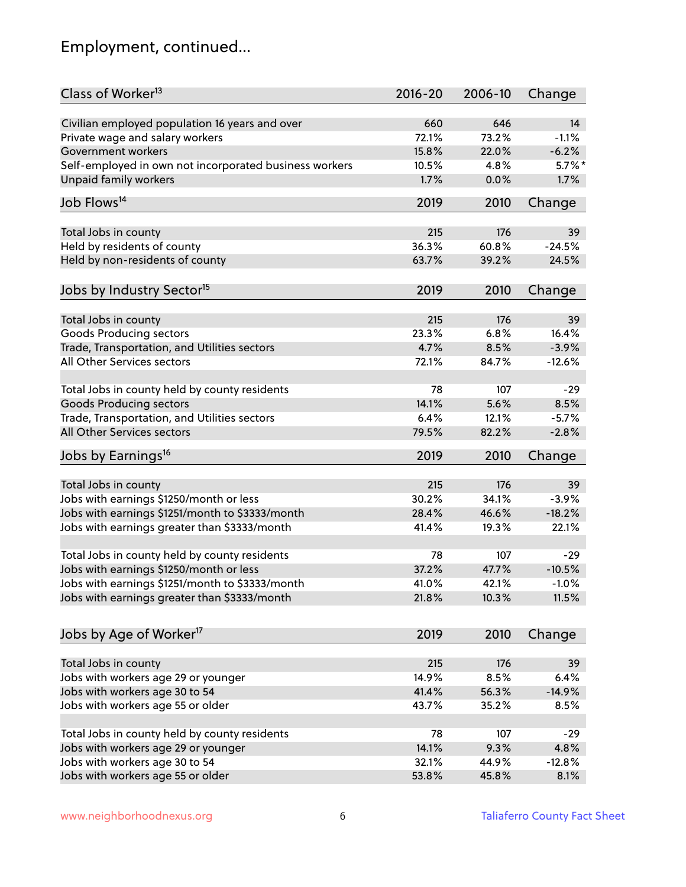# Employment, continued...

| Class of Worker <sup>13</sup>                          | $2016 - 20$ | 2006-10 | Change    |
|--------------------------------------------------------|-------------|---------|-----------|
| Civilian employed population 16 years and over         | 660         | 646     | 14        |
| Private wage and salary workers                        | 72.1%       | 73.2%   | $-1.1%$   |
| Government workers                                     | 15.8%       | 22.0%   | $-6.2%$   |
| Self-employed in own not incorporated business workers | 10.5%       | 4.8%    | $5.7\%$ * |
| Unpaid family workers                                  | 1.7%        | 0.0%    | 1.7%      |
| Job Flows <sup>14</sup>                                | 2019        | 2010    | Change    |
|                                                        |             |         |           |
| Total Jobs in county                                   | 215         | 176     | 39        |
| Held by residents of county                            | 36.3%       | 60.8%   | $-24.5%$  |
| Held by non-residents of county                        | 63.7%       | 39.2%   | 24.5%     |
|                                                        | 2019        | 2010    |           |
| Jobs by Industry Sector <sup>15</sup>                  |             |         | Change    |
| Total Jobs in county                                   | 215         | 176     | 39        |
| Goods Producing sectors                                | 23.3%       | 6.8%    | 16.4%     |
| Trade, Transportation, and Utilities sectors           | 4.7%        | 8.5%    | $-3.9%$   |
| All Other Services sectors                             | 72.1%       | 84.7%   | $-12.6%$  |
|                                                        |             |         |           |
| Total Jobs in county held by county residents          | 78          | 107     | $-29$     |
| <b>Goods Producing sectors</b>                         | 14.1%       | 5.6%    | 8.5%      |
| Trade, Transportation, and Utilities sectors           | 6.4%        | 12.1%   | $-5.7%$   |
| All Other Services sectors                             | 79.5%       | 82.2%   | $-2.8%$   |
| Jobs by Earnings <sup>16</sup>                         | 2019        | 2010    | Change    |
| Total Jobs in county                                   | 215         | 176     | 39        |
| Jobs with earnings \$1250/month or less                | 30.2%       | 34.1%   | $-3.9%$   |
| Jobs with earnings \$1251/month to \$3333/month        | 28.4%       | 46.6%   | $-18.2%$  |
|                                                        |             |         |           |
| Jobs with earnings greater than \$3333/month           | 41.4%       | 19.3%   | 22.1%     |
| Total Jobs in county held by county residents          | 78          | 107     | $-29$     |
| Jobs with earnings \$1250/month or less                | 37.2%       | 47.7%   | $-10.5%$  |
| Jobs with earnings \$1251/month to \$3333/month        | 41.0%       | 42.1%   | $-1.0\%$  |
| Jobs with earnings greater than \$3333/month           | 21.8%       | 10.3%   | 11.5%     |
|                                                        |             |         |           |
| Jobs by Age of Worker <sup>17</sup>                    | 2019        | 2010    | Change    |
| Total Jobs in county                                   | 215         | 176     | 39        |
| Jobs with workers age 29 or younger                    | 14.9%       | 8.5%    | 6.4%      |
| Jobs with workers age 30 to 54                         | 41.4%       | 56.3%   | $-14.9%$  |
| Jobs with workers age 55 or older                      | 43.7%       | 35.2%   | 8.5%      |
|                                                        |             |         |           |
| Total Jobs in county held by county residents          | 78          | 107     | $-29$     |
| Jobs with workers age 29 or younger                    | 14.1%       | 9.3%    | 4.8%      |
| Jobs with workers age 30 to 54                         | 32.1%       | 44.9%   | $-12.8%$  |
| Jobs with workers age 55 or older                      | 53.8%       | 45.8%   | 8.1%      |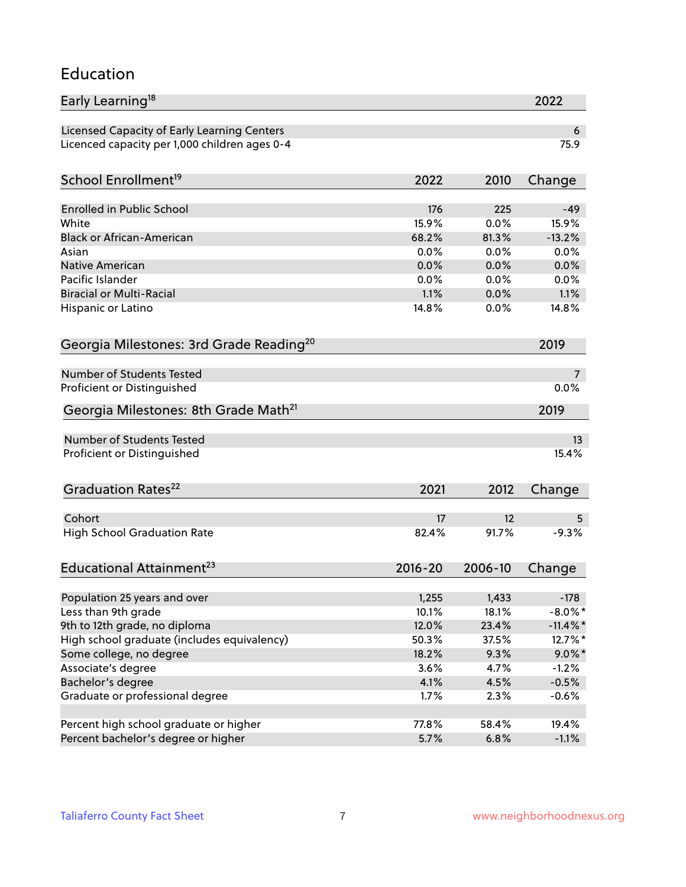#### Education

| Early Learning <sup>18</sup>                        |               |              | 2022         |
|-----------------------------------------------------|---------------|--------------|--------------|
| Licensed Capacity of Early Learning Centers         |               |              | 6            |
| Licenced capacity per 1,000 children ages 0-4       |               |              | 75.9         |
| School Enrollment <sup>19</sup>                     | 2022          | 2010         | Change       |
|                                                     |               |              |              |
| <b>Enrolled in Public School</b>                    | 176           | 225          | $-49$        |
| White<br><b>Black or African-American</b>           | 15.9%         | 0.0%         | 15.9%        |
| Asian                                               | 68.2%<br>0.0% | 81.3%        | $-13.2%$     |
| Native American                                     | 0.0%          | 0.0%         | 0.0%<br>0.0% |
| Pacific Islander                                    | 0.0%          | 0.0%<br>0.0% | 0.0%         |
| <b>Biracial or Multi-Racial</b>                     | 1.1%          | 0.0%         | 1.1%         |
|                                                     | 14.8%         | 0.0%         | 14.8%        |
| Hispanic or Latino                                  |               |              |              |
| Georgia Milestones: 3rd Grade Reading <sup>20</sup> |               |              | 2019         |
| Number of Students Tested                           |               |              |              |
|                                                     |               |              | 0.0%         |
| Proficient or Distinguished                         |               |              |              |
| Georgia Milestones: 8th Grade Math <sup>21</sup>    |               |              | 2019         |
| <b>Number of Students Tested</b>                    |               |              | 13           |
| Proficient or Distinguished                         |               |              | 15.4%        |
| Graduation Rates <sup>22</sup>                      | 2021          | 2012         | Change       |
|                                                     |               |              |              |
| Cohort                                              | 17            | 12           | 5            |
| <b>High School Graduation Rate</b>                  | 82.4%         | 91.7%        | $-9.3%$      |
| Educational Attainment <sup>23</sup>                | $2016 - 20$   | 2006-10      | Change       |
| Population 25 years and over                        | 1,255         | 1,433        | $-178$       |
| Less than 9th grade                                 | 10.1%         | 18.1%        | $-8.0\%$ *   |
| 9th to 12th grade, no diploma                       | 12.0%         | 23.4%        | $-11.4\%$ *  |
| High school graduate (includes equivalency)         | 50.3%         | 37.5%        | 12.7%*       |
| Some college, no degree                             | 18.2%         | 9.3%         | $9.0\%$ *    |
| Associate's degree                                  | 3.6%          | 4.7%         | $-1.2%$      |
| Bachelor's degree                                   | 4.1%          | 4.5%         | $-0.5%$      |
| Graduate or professional degree                     | 1.7%          | 2.3%         | $-0.6%$      |
|                                                     |               |              |              |
| Percent high school graduate or higher              | 77.8%         | 58.4%        | 19.4%        |
| Percent bachelor's degree or higher                 | 5.7%          | 6.8%         | $-1.1%$      |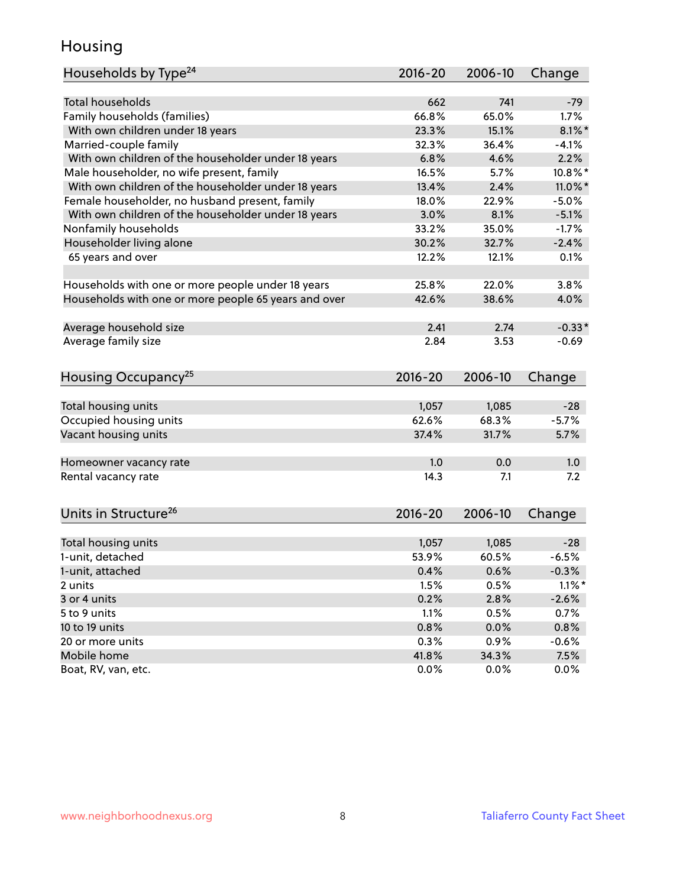#### Housing

| Households by Type <sup>24</sup>                     | 2016-20        | 2006-10        | Change    |
|------------------------------------------------------|----------------|----------------|-----------|
|                                                      |                |                |           |
| <b>Total households</b>                              | 662            | 741            | $-79$     |
| Family households (families)                         | 66.8%          | 65.0%          | 1.7%      |
| With own children under 18 years                     | 23.3%          | 15.1%          | $8.1\%$   |
| Married-couple family                                | 32.3%          | 36.4%          | $-4.1%$   |
| With own children of the householder under 18 years  | 6.8%           | 4.6%           | 2.2%      |
| Male householder, no wife present, family            | 16.5%          | 5.7%           | 10.8%*    |
| With own children of the householder under 18 years  | 13.4%          | 2.4%           | 11.0%*    |
| Female householder, no husband present, family       | 18.0%          | 22.9%          | $-5.0%$   |
| With own children of the householder under 18 years  | 3.0%           | 8.1%           | $-5.1%$   |
| Nonfamily households                                 | 33.2%          | 35.0%          | $-1.7%$   |
| Householder living alone                             | 30.2%          | 32.7%          | $-2.4%$   |
| 65 years and over                                    | 12.2%          | 12.1%          | 0.1%      |
|                                                      |                |                |           |
| Households with one or more people under 18 years    | 25.8%          | 22.0%          | 3.8%      |
| Households with one or more people 65 years and over | 42.6%          | 38.6%          | 4.0%      |
| Average household size                               | 2.41           | 2.74           | $-0.33*$  |
| Average family size                                  | 2.84           | 3.53           | $-0.69$   |
|                                                      |                |                |           |
| Housing Occupancy <sup>25</sup>                      | $2016 - 20$    | 2006-10        | Change    |
|                                                      |                |                | $-28$     |
| Total housing units                                  | 1,057<br>62.6% | 1,085<br>68.3% | $-5.7%$   |
| Occupied housing units                               |                |                |           |
| Vacant housing units                                 | 37.4%          | 31.7%          | 5.7%      |
| Homeowner vacancy rate                               | 1.0            | 0.0            | 1.0       |
| Rental vacancy rate                                  | 14.3           | 7.1            | 7.2       |
|                                                      |                |                |           |
| Units in Structure <sup>26</sup>                     | $2016 - 20$    | 2006-10        | Change    |
|                                                      |                |                |           |
| Total housing units                                  | 1,057          | 1,085          | $-28$     |
| 1-unit, detached                                     | 53.9%          | 60.5%          | $-6.5%$   |
| 1-unit, attached                                     | 0.4%           | 0.6%           | $-0.3%$   |
| 2 units                                              | 1.5%           | 0.5%           | $1.1\%$ * |
| 3 or 4 units                                         | 0.2%           | 2.8%           | $-2.6%$   |
| 5 to 9 units                                         | 1.1%           | 0.5%           | 0.7%      |
| 10 to 19 units                                       | 0.8%           | 0.0%           | 0.8%      |
| 20 or more units                                     | 0.3%           | 0.9%           | $-0.6%$   |
| Mobile home                                          | 41.8%          | 34.3%          | 7.5%      |
| Boat, RV, van, etc.                                  | 0.0%           | 0.0%           | 0.0%      |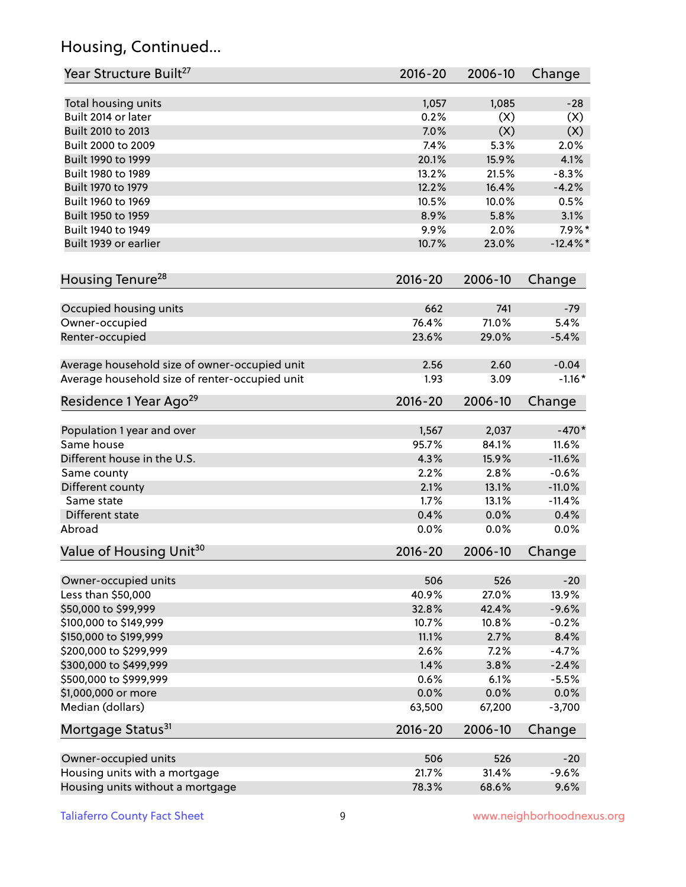# Housing, Continued...

| Year Structure Built <sup>27</sup>             | 2016-20     | 2006-10 | Change      |
|------------------------------------------------|-------------|---------|-------------|
| Total housing units                            | 1,057       | 1,085   | $-28$       |
| Built 2014 or later                            | 0.2%        | (X)     | (X)         |
| Built 2010 to 2013                             | 7.0%        | (X)     | (X)         |
| Built 2000 to 2009                             | 7.4%        | 5.3%    | 2.0%        |
| Built 1990 to 1999                             | 20.1%       | 15.9%   | 4.1%        |
| Built 1980 to 1989                             | 13.2%       | 21.5%   | $-8.3%$     |
| Built 1970 to 1979                             | 12.2%       | 16.4%   | $-4.2%$     |
| Built 1960 to 1969                             | 10.5%       | 10.0%   | 0.5%        |
| Built 1950 to 1959                             | 8.9%        | 5.8%    | 3.1%        |
| Built 1940 to 1949                             | 9.9%        | 2.0%    | $7.9\%$ *   |
| Built 1939 or earlier                          | 10.7%       | 23.0%   | $-12.4\%$ * |
|                                                |             |         |             |
| Housing Tenure <sup>28</sup>                   | 2016-20     | 2006-10 | Change      |
| Occupied housing units                         | 662         | 741     | $-79$       |
| Owner-occupied                                 | 76.4%       | 71.0%   | 5.4%        |
| Renter-occupied                                | 23.6%       | 29.0%   | $-5.4%$     |
| Average household size of owner-occupied unit  | 2.56        | 2.60    | $-0.04$     |
| Average household size of renter-occupied unit | 1.93        | 3.09    | $-1.16*$    |
| Residence 1 Year Ago <sup>29</sup>             | 2016-20     | 2006-10 | Change      |
| Population 1 year and over                     | 1,567       | 2,037   | $-470*$     |
| Same house                                     | 95.7%       | 84.1%   | 11.6%       |
| Different house in the U.S.                    | 4.3%        | 15.9%   | $-11.6%$    |
| Same county                                    | 2.2%        | 2.8%    | $-0.6%$     |
| Different county                               | 2.1%        | 13.1%   | $-11.0%$    |
| Same state                                     | 1.7%        | 13.1%   | $-11.4%$    |
| Different state                                | 0.4%        | 0.0%    | 0.4%        |
| Abroad                                         | 0.0%        | 0.0%    | 0.0%        |
| Value of Housing Unit <sup>30</sup>            | 2016-20     | 2006-10 | Change      |
|                                                |             |         |             |
| Owner-occupied units                           | 506         | 526     | $-20$       |
| Less than \$50,000                             | 40.9%       | 27.0%   | 13.9%       |
| \$50,000 to \$99,999                           | 32.8%       | 42.4%   | $-9.6%$     |
| \$100,000 to \$149,999                         | 10.7%       | 10.8%   | $-0.2%$     |
| \$150,000 to \$199,999                         | 11.1%       | 2.7%    | 8.4%        |
| \$200,000 to \$299,999                         | 2.6%        | 7.2%    | $-4.7%$     |
| \$300,000 to \$499,999                         | 1.4%        | 3.8%    | $-2.4%$     |
| \$500,000 to \$999,999                         | 0.6%        | 6.1%    | $-5.5%$     |
| \$1,000,000 or more                            | 0.0%        | 0.0%    | $0.0\%$     |
| Median (dollars)                               | 63,500      | 67,200  | $-3,700$    |
| Mortgage Status <sup>31</sup>                  | $2016 - 20$ | 2006-10 | Change      |
| Owner-occupied units                           | 506         | 526     | $-20$       |
| Housing units with a mortgage                  | 21.7%       | 31.4%   | $-9.6%$     |
| Housing units without a mortgage               | 78.3%       | 68.6%   | 9.6%        |
|                                                |             |         |             |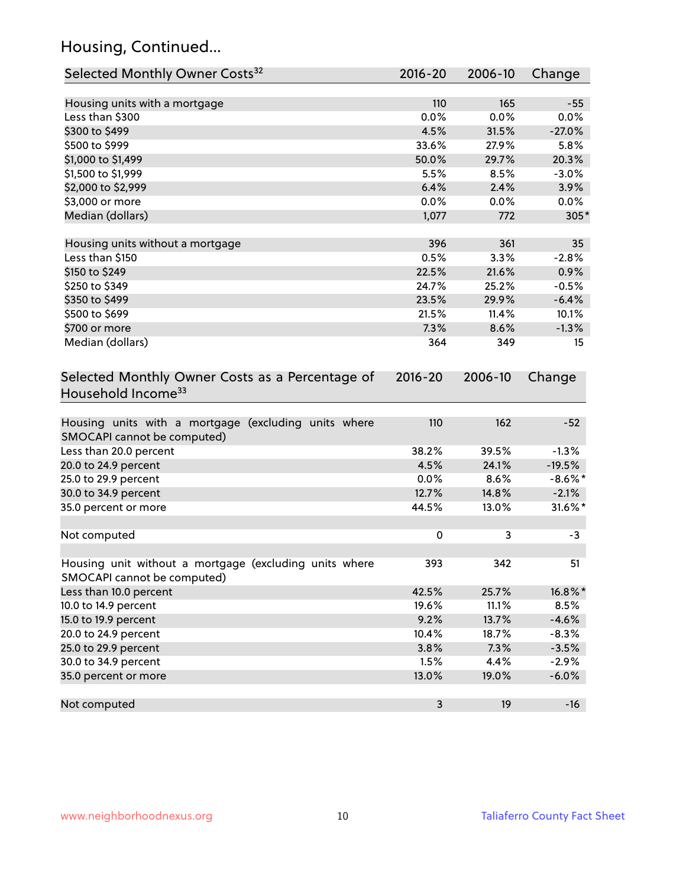# Housing, Continued...

| Selected Monthly Owner Costs <sup>32</sup>                                            | 2016-20     | 2006-10 | Change     |
|---------------------------------------------------------------------------------------|-------------|---------|------------|
| Housing units with a mortgage                                                         | 110         | 165     | $-55$      |
| Less than \$300                                                                       | 0.0%        | 0.0%    | 0.0%       |
| \$300 to \$499                                                                        | 4.5%        | 31.5%   | $-27.0%$   |
| \$500 to \$999                                                                        | 33.6%       | 27.9%   | 5.8%       |
| \$1,000 to \$1,499                                                                    | 50.0%       | 29.7%   | 20.3%      |
| \$1,500 to \$1,999                                                                    | 5.5%        | 8.5%    | $-3.0%$    |
| \$2,000 to \$2,999                                                                    | 6.4%        | 2.4%    | 3.9%       |
| \$3,000 or more                                                                       | 0.0%        | 0.0%    | 0.0%       |
| Median (dollars)                                                                      | 1,077       | 772     | $305*$     |
|                                                                                       |             |         |            |
| Housing units without a mortgage                                                      | 396         | 361     | 35         |
| Less than \$150                                                                       | 0.5%        | 3.3%    | $-2.8%$    |
| \$150 to \$249                                                                        | 22.5%       | 21.6%   | 0.9%       |
| \$250 to \$349                                                                        | 24.7%       | 25.2%   | $-0.5%$    |
| \$350 to \$499                                                                        | 23.5%       | 29.9%   | $-6.4%$    |
| \$500 to \$699                                                                        | 21.5%       | 11.4%   | 10.1%      |
| \$700 or more                                                                         | 7.3%        | 8.6%    | $-1.3%$    |
| Median (dollars)                                                                      | 364         | 349     | 15         |
| Selected Monthly Owner Costs as a Percentage of<br>Household Income <sup>33</sup>     | $2016 - 20$ | 2006-10 | Change     |
| Housing units with a mortgage (excluding units where<br>SMOCAPI cannot be computed)   | 110         | 162     | $-52$      |
| Less than 20.0 percent                                                                | 38.2%       | 39.5%   | $-1.3%$    |
| 20.0 to 24.9 percent                                                                  | 4.5%        | 24.1%   | $-19.5%$   |
| 25.0 to 29.9 percent                                                                  | 0.0%        | 8.6%    | $-8.6\%$ * |
| 30.0 to 34.9 percent                                                                  | 12.7%       | 14.8%   | $-2.1%$    |
| 35.0 percent or more                                                                  | 44.5%       | 13.0%   | 31.6%*     |
| Not computed                                                                          | 0           | 3       | $-3$       |
|                                                                                       |             |         |            |
| Housing unit without a mortgage (excluding units where<br>SMOCAPI cannot be computed) | 393         | 342     | 51         |
| Less than 10.0 percent                                                                | 42.5%       | 25.7%   | 16.8%*     |
| 10.0 to 14.9 percent                                                                  | 19.6%       | 11.1%   | 8.5%       |
| 15.0 to 19.9 percent                                                                  | 9.2%        | 13.7%   | $-4.6%$    |
| 20.0 to 24.9 percent                                                                  | 10.4%       | 18.7%   | $-8.3%$    |
| 25.0 to 29.9 percent                                                                  | 3.8%        | 7.3%    | $-3.5%$    |
| 30.0 to 34.9 percent                                                                  | 1.5%        | 4.4%    | $-2.9%$    |
| 35.0 percent or more                                                                  | 13.0%       | 19.0%   | $-6.0%$    |
| Not computed                                                                          | 3           | 19      | $-16$      |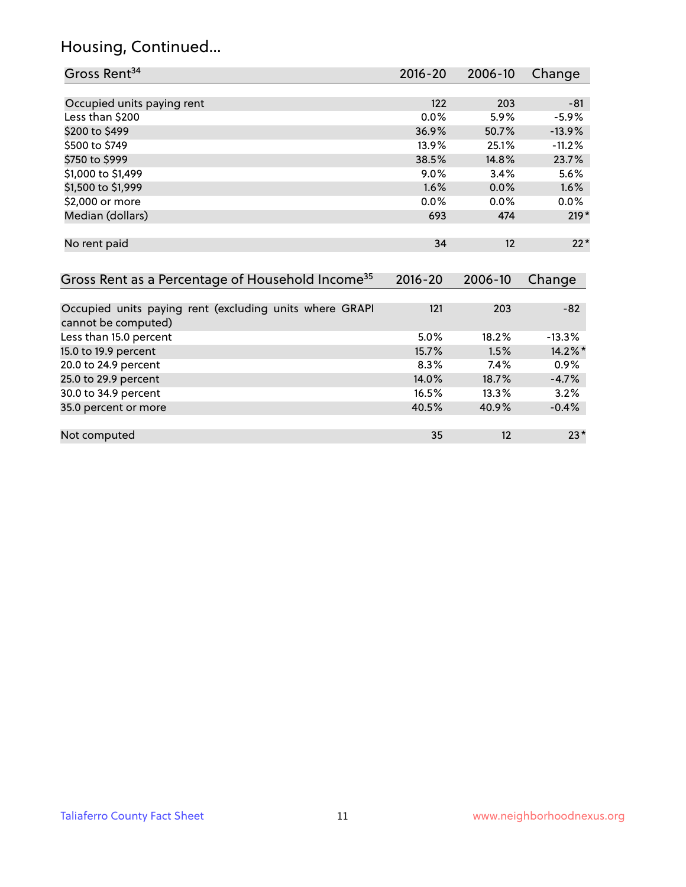#### Housing, Continued...

| Gross Rent <sup>34</sup>                                                       | 2016-20     | 2006-10 | Change   |
|--------------------------------------------------------------------------------|-------------|---------|----------|
|                                                                                |             |         |          |
| Occupied units paying rent                                                     | 122         | 203     | $-81$    |
| Less than \$200                                                                | $0.0\%$     | 5.9%    | $-5.9%$  |
| \$200 to \$499                                                                 | 36.9%       | 50.7%   | $-13.9%$ |
| \$500 to \$749                                                                 | 13.9%       | 25.1%   | $-11.2%$ |
| \$750 to \$999                                                                 | 38.5%       | 14.8%   | 23.7%    |
| \$1,000 to \$1,499                                                             | $9.0\%$     | 3.4%    | 5.6%     |
| \$1,500 to \$1,999                                                             | 1.6%        | 0.0%    | 1.6%     |
| \$2,000 or more                                                                | 0.0%        | $0.0\%$ | $0.0\%$  |
| Median (dollars)                                                               | 693         | 474     | $219*$   |
| No rent paid                                                                   | 34          | 12      | $22*$    |
| Gross Rent as a Percentage of Household Income <sup>35</sup>                   | $2016 - 20$ | 2006-10 | Change   |
|                                                                                |             |         |          |
| Occupied units paying rent (excluding units where GRAPI<br>cannot be computed) | 121         | 203     | $-82$    |
| Less than 15.0 percent                                                         | 5.0%        | 18.2%   | $-13.3%$ |
| 15.0 to 19.9 percent                                                           | 15.7%       | 1.5%    | 14.2%*   |
| 20.0 to 24.9 percent                                                           | 8.3%        | $7.4\%$ | $0.9\%$  |

| 20.0 to 24.9 percent | 8.3%  | 7.4%     | $0.9\%$ |
|----------------------|-------|----------|---------|
| 25.0 to 29.9 percent | 14.0% | 18.7%    | $-4.7%$ |
| 30.0 to 34.9 percent | 16.5% | $13.3\%$ | 3.2%    |
| 35.0 percent or more | 40.5% | 40.9%    | $-0.4%$ |
|                      |       |          |         |
| Not computed         | 35    | 12       | $23*$   |
|                      |       |          |         |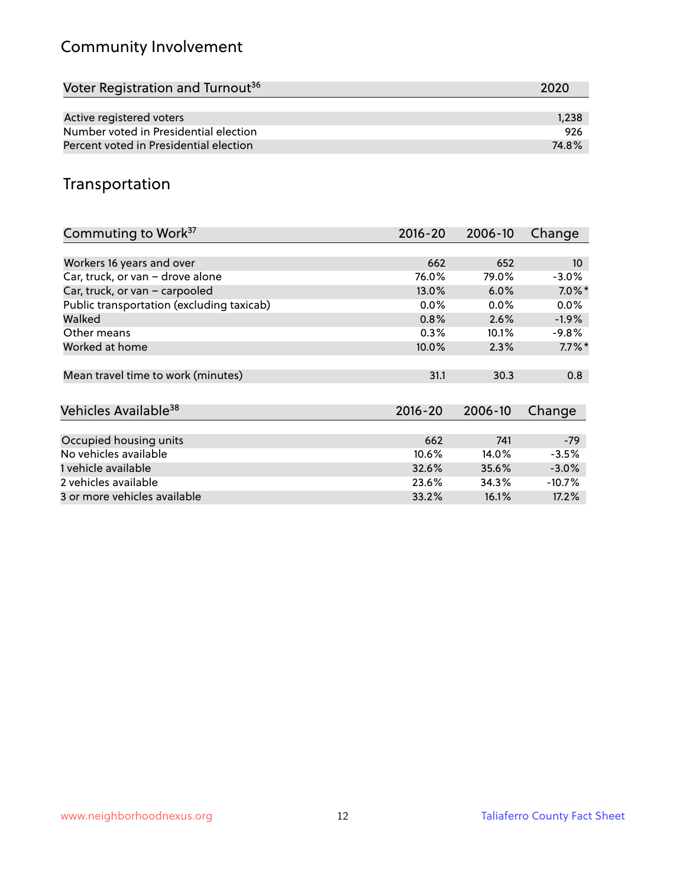# Community Involvement

| Voter Registration and Turnout <sup>36</sup> | 2020  |
|----------------------------------------------|-------|
|                                              |       |
| Active registered voters                     | 1,238 |
| Number voted in Presidential election        | 926   |
| Percent voted in Presidential election       | 74.8% |

#### Transportation

| Commuting to Work <sup>37</sup>           | 2016-20     | 2006-10 | Change          |
|-------------------------------------------|-------------|---------|-----------------|
|                                           |             |         |                 |
| Workers 16 years and over                 | 662         | 652     | 10 <sup>°</sup> |
| Car, truck, or van - drove alone          | 76.0%       | 79.0%   | $-3.0%$         |
| Car, truck, or van - carpooled            | 13.0%       | 6.0%    | $7.0\%$ *       |
| Public transportation (excluding taxicab) | $0.0\%$     | $0.0\%$ | $0.0\%$         |
| Walked                                    | 0.8%        | 2.6%    | $-1.9%$         |
| Other means                               | 0.3%        | 10.1%   | -9.8%           |
| Worked at home                            | 10.0%       | 2.3%    | $7.7\%$ *       |
|                                           |             |         |                 |
| Mean travel time to work (minutes)        | 31.1        | 30.3    | 0.8             |
|                                           |             |         |                 |
| Vehicles Available <sup>38</sup>          | $2016 - 20$ | 2006-10 | Change          |
|                                           |             |         |                 |
| Occupied housing units                    | 662         | 741     | $-79$           |
| No vehicles available                     | 10.6%       | 14.0%   | $-3.5%$         |
| 1 vehicle available                       | 32.6%       | 35.6%   | $-3.0%$         |
| 2 vehicles available                      | 23.6%       | 34.3%   | $-10.7%$        |
| 3 or more vehicles available              | 33.2%       | 16.1%   | 17.2%           |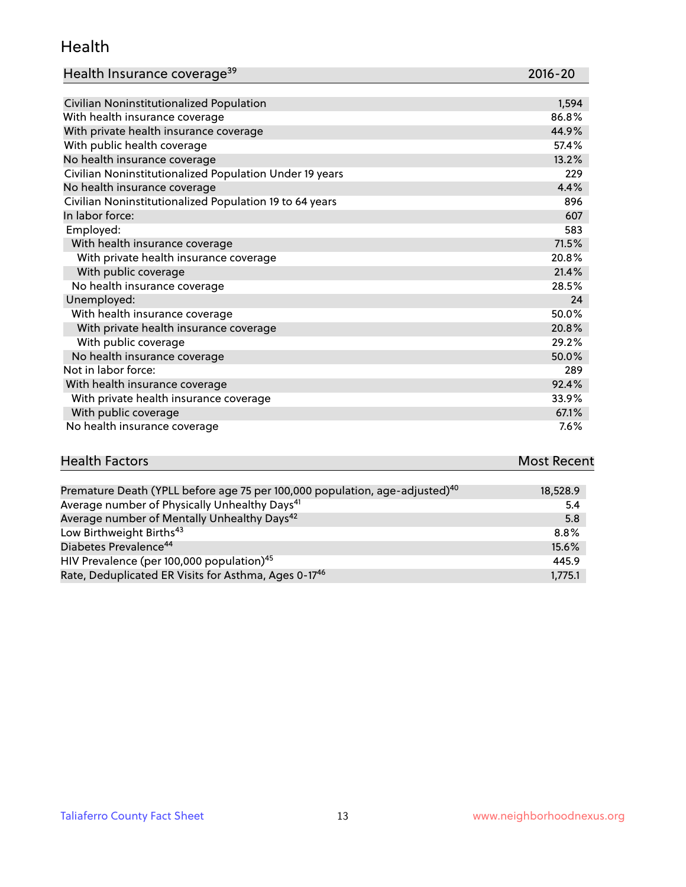#### Health

| Health Insurance coverage <sup>39</sup> | 2016-20 |
|-----------------------------------------|---------|
|-----------------------------------------|---------|

| Civilian Noninstitutionalized Population                | 1,594 |
|---------------------------------------------------------|-------|
| With health insurance coverage                          | 86.8% |
| With private health insurance coverage                  | 44.9% |
| With public health coverage                             | 57.4% |
| No health insurance coverage                            | 13.2% |
| Civilian Noninstitutionalized Population Under 19 years | 229   |
| No health insurance coverage                            | 4.4%  |
| Civilian Noninstitutionalized Population 19 to 64 years | 896   |
| In labor force:                                         | 607   |
| Employed:                                               | 583   |
| With health insurance coverage                          | 71.5% |
| With private health insurance coverage                  | 20.8% |
| With public coverage                                    | 21.4% |
| No health insurance coverage                            | 28.5% |
| Unemployed:                                             | 24    |
| With health insurance coverage                          | 50.0% |
| With private health insurance coverage                  | 20.8% |
| With public coverage                                    | 29.2% |
| No health insurance coverage                            | 50.0% |
| Not in labor force:                                     | 289   |
| With health insurance coverage                          | 92.4% |
| With private health insurance coverage                  | 33.9% |
| With public coverage                                    | 67.1% |
| No health insurance coverage                            | 7.6%  |

| <b>Health Factors</b>                                                                   | <b>Most Recent</b> |
|-----------------------------------------------------------------------------------------|--------------------|
|                                                                                         |                    |
| Premature Death (YPLL before age 75 per 100,000 population, age-adjusted) <sup>40</sup> | 18,528.9           |
| Average number of Physically Unhealthy Days <sup>41</sup>                               | 5.4                |
| Average number of Mentally Unhealthy Days <sup>42</sup>                                 | 5.8                |
| Low Birthweight Births <sup>43</sup>                                                    | 8.8%               |
| Diabetes Prevalence <sup>44</sup>                                                       | 15.6%              |
| HIV Prevalence (per 100,000 population) <sup>45</sup>                                   | 445.9              |

HIV Prevalence (per 100,000 population) $^{45}$  and the set of the set of the set of the set of the set of the set of the set of the set of the set of the set of the set of the set of the set of the set of the set of the se Rate, Deduplicated ER Visits for Asthma, Ages 0-17 $^{46}$  1,775.1 1,775.1 1,775.1 1,775.1 1,775.1 1,775.1 1,775.1